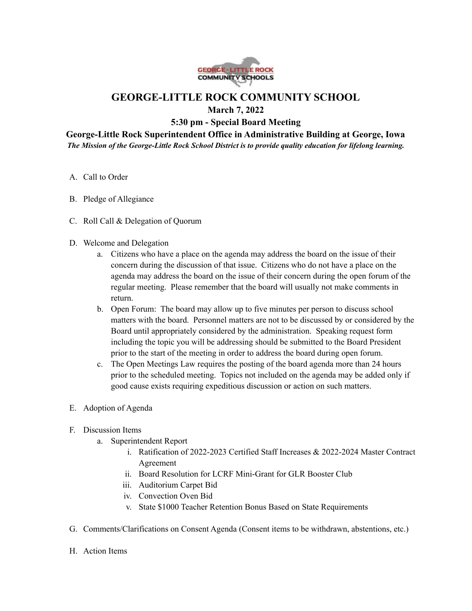

## **GEORGE-LITTLE ROCK COMMUNITY SCHOOL**

**March 7, 2022**

**5:30 pm - Special Board Meeting**

**George-Little Rock Superintendent Office in Administrative Building at George, Iowa** *The Mission of the George-Little Rock School District is to provide quality education for lifelong learning.*

- A. Call to Order
- B. Pledge of Allegiance
- C. Roll Call & Delegation of Quorum
- D. Welcome and Delegation
	- a. Citizens who have a place on the agenda may address the board on the issue of their concern during the discussion of that issue. Citizens who do not have a place on the agenda may address the board on the issue of their concern during the open forum of the regular meeting. Please remember that the board will usually not make comments in return.
	- b. Open Forum: The board may allow up to five minutes per person to discuss school matters with the board. Personnel matters are not to be discussed by or considered by the Board until appropriately considered by the administration. Speaking request form including the topic you will be addressing should be submitted to the Board President prior to the start of the meeting in order to address the board during open forum.
	- c. The Open Meetings Law requires the posting of the board agenda more than 24 hours prior to the scheduled meeting. Topics not included on the agenda may be added only if good cause exists requiring expeditious discussion or action on such matters.
- E. Adoption of Agenda
- F. Discussion Items
	- a. Superintendent Report
		- i. Ratification of 2022-2023 Certified Staff Increases & 2022-2024 Master Contract Agreement
		- ii. Board Resolution for LCRF Mini-Grant for GLR Booster Club
		- iii. Auditorium Carpet Bid
		- iv. Convection Oven Bid
		- v. State \$1000 Teacher Retention Bonus Based on State Requirements
- G. Comments/Clarifications on Consent Agenda (Consent items to be withdrawn, abstentions, etc.)
- H. Action Items